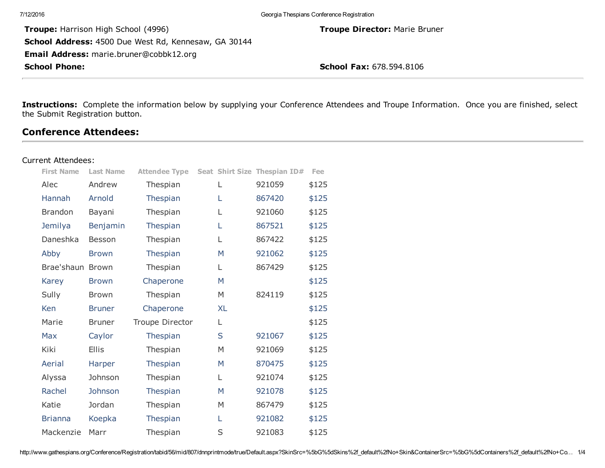| <b>School Phone:</b>                                        | <b>School Fax: 678.594.8106</b>           |
|-------------------------------------------------------------|-------------------------------------------|
| Email Address: marie.bruner@cobbk12.org                     |                                           |
| <b>School Address: 4500 Due West Rd, Kennesaw, GA 30144</b> |                                           |
| <b>Troupe:</b> Harrison High School (4996)                  | <b>Troupe Director: Marie Bruner</b>      |
| 7/12/2016                                                   | Georgia Thespians Conference Registration |

Instructions: Complete the information below by supplying your Conference Attendees and Troupe Information. Once you are finished, select the Submit Registration button.

## Conference Attendees:

#### Current Attendees:

| <b>First Name</b> | <b>Last Name</b> | <b>Attendee Type</b> |           | Seat Shirt Size Thespian ID# | Fee   |
|-------------------|------------------|----------------------|-----------|------------------------------|-------|
| Alec              | Andrew           | Thespian             | L         | 921059                       | \$125 |
| Hannah            | Arnold           | Thespian             | L         | 867420                       | \$125 |
| <b>Brandon</b>    | Bayani           | Thespian             | L         | 921060                       | \$125 |
| Jemilya           | Benjamin         | Thespian             | L         | 867521                       | \$125 |
| Daneshka          | Besson           | Thespian             | L         | 867422                       | \$125 |
| Abby              | <b>Brown</b>     | Thespian             | M         | 921062                       | \$125 |
| Brae'shaun Brown  |                  | Thespian             | L         | 867429                       | \$125 |
| Karey             | <b>Brown</b>     | Chaperone            | M         |                              | \$125 |
| Sully             | <b>Brown</b>     | Thespian             | M         | 824119                       | \$125 |
| Ken               | <b>Bruner</b>    | Chaperone            | <b>XL</b> |                              | \$125 |
| Marie             | Bruner           | Troupe Director      | L         |                              | \$125 |
| Max               | Caylor           | Thespian             | S         | 921067                       | \$125 |
| Kiki              | <b>Ellis</b>     | Thespian             | M         | 921069                       | \$125 |
| Aerial            | Harper           | Thespian             | M         | 870475                       | \$125 |
| Alyssa            | Johnson          | Thespian             | L         | 921074                       | \$125 |
| Rachel            | Johnson          | Thespian             | M         | 921078                       | \$125 |
| Katie             | Jordan           | Thespian             | M         | 867479                       | \$125 |
| <b>Brianna</b>    | Koepka           | Thespian             | L         | 921082                       | \$125 |
| Mackenzie         | Marr             | Thespian             | S         | 921083                       | \$125 |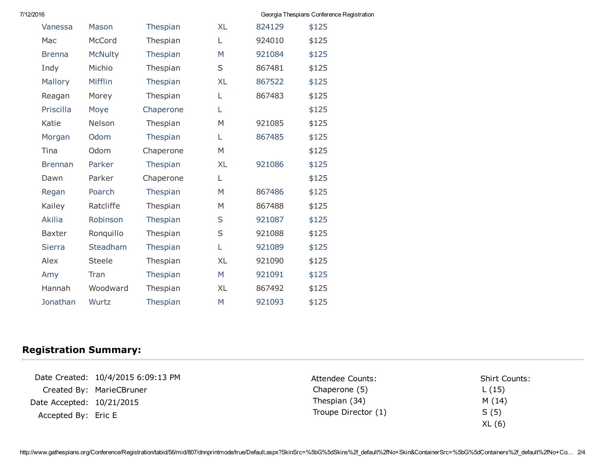| 7/12/2016 |  |  |
|-----------|--|--|
|           |  |  |

| 016            |                |           |           |        | Georgia Thespians Conference Registration |  |
|----------------|----------------|-----------|-----------|--------|-------------------------------------------|--|
| Vanessa        | Mason          | Thespian  | <b>XL</b> | 824129 | \$125                                     |  |
| Mac            | McCord         | Thespian  | L         | 924010 | \$125                                     |  |
| <b>Brenna</b>  | <b>McNulty</b> | Thespian  | M         | 921084 | \$125                                     |  |
| Indy           | Michio         | Thespian  | S         | 867481 | \$125                                     |  |
| Mallory        | Mifflin        | Thespian  | <b>XL</b> | 867522 | \$125                                     |  |
| Reagan         | Morey          | Thespian  | L         | 867483 | \$125                                     |  |
| Priscilla      | Moye           | Chaperone | L         |        | \$125                                     |  |
| Katie          | Nelson         | Thespian  | M         | 921085 | \$125                                     |  |
| Morgan         | Odom           | Thespian  | L         | 867485 | \$125                                     |  |
| Tina           | Odom           | Chaperone | M         |        | \$125                                     |  |
| <b>Brennan</b> | Parker         | Thespian  | <b>XL</b> | 921086 | \$125                                     |  |
| Dawn           | Parker         | Chaperone | L         |        | \$125                                     |  |
| Regan          | Poarch         | Thespian  | M         | 867486 | \$125                                     |  |
| Kailey         | Ratcliffe      | Thespian  | M         | 867488 | \$125                                     |  |
| <b>Akilia</b>  | Robinson       | Thespian  | S         | 921087 | \$125                                     |  |
| <b>Baxter</b>  | Ronquillo      | Thespian  | S         | 921088 | \$125                                     |  |
| <b>Sierra</b>  | Steadham       | Thespian  | L         | 921089 | \$125                                     |  |
| Alex           | <b>Steele</b>  | Thespian  | <b>XL</b> | 921090 | \$125                                     |  |
| Amy            | Tran           | Thespian  | M         | 921091 | \$125                                     |  |
| Hannah         | Woodward       | Thespian  | XL        | 867492 | \$125                                     |  |
| Jonathan       | Wurtz          | Thespian  | M         | 921093 | \$125                                     |  |

# Registration Summary:

Date Created: 10/4/2015 6:09:13 PM Created By: MarieCBruner Date Accepted: 10/21/2015 Accepted By: Eric E

Attendee Counts: Chaperone (5) Thespian (34) Troupe Director (1) Shirt Counts: L (15) M (14) S (5) XL (6)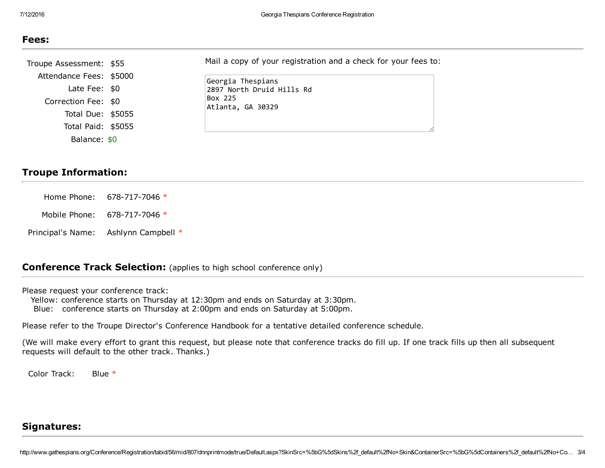| .,<br>۰.<br>.,<br>- 3<br>۰. |
|-----------------------------|
|-----------------------------|

| Troupe Assessment: \$55 | Mail a copy of your registration and a check for your fees to: |
|-------------------------|----------------------------------------------------------------|
| Attendance Fees: \$5000 | Georgia Thespians                                              |
| Late Fee: $$0$          | 2897 North Druid Hills Rd                                      |
| Correction Fee: \$0     | Box 225<br>Atlanta, GA 30329                                   |
| Total Due: \$5055       |                                                                |
| Total Paid: \$5055      |                                                                |
| Balance: \$0            |                                                                |

## Troupe Information:

| Home Phone: $678-717-7046*$          |
|--------------------------------------|
| Mobile Phone: $678-717-7046*$        |
| Principal's Name: Ashlynn Campbell * |

### **Conference Track Selection:** (applies to high school conference only)

Please request your conference track:

Yellow: conference starts on Thursday at 12:30pm and ends on Saturday at 3:30pm. Blue: conference starts on Thursday at 2:00pm and ends on Saturday at 5:00pm.

Please refer to the Troupe Director's Conference Handbook for a tentative detailed conference schedule.

(We will make every effort to grant this request, but please note that conference tracks do fill up. If one track fills up then all subsequent requests will default to the other track. Thanks.)

Color Track: Blue \*

### Signatures:

http://www.gathespians.org/Conference/Registration/tabid/56/mid/807/dnnprintmode/true/Default.aspx?SkinSrc=%5bG%5dSkins%2f\_default%2fNo+Skin&ContainerSrc=%5bG%5dContainers%2f\_default%2fNo+Co… 3/4